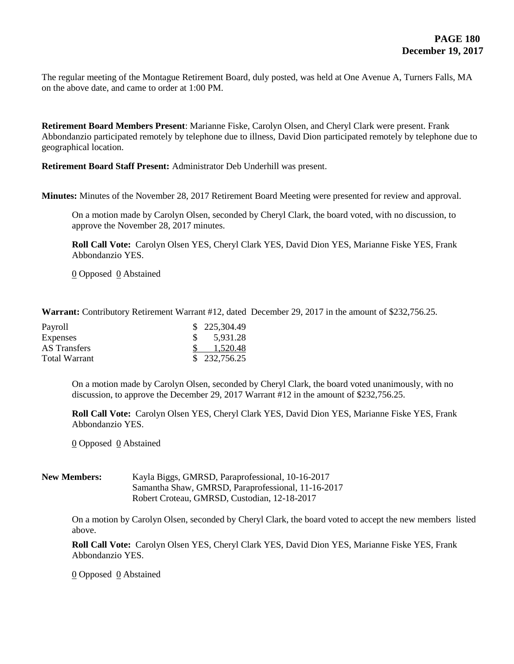The regular meeting of the Montague Retirement Board, duly posted, was held at One Avenue A, Turners Falls, MA on the above date, and came to order at 1:00 PM.

**Retirement Board Members Present**: Marianne Fiske, Carolyn Olsen, and Cheryl Clark were present. Frank Abbondanzio participated remotely by telephone due to illness, David Dion participated remotely by telephone due to geographical location.

**Retirement Board Staff Present:** Administrator Deb Underhill was present.

**Minutes:** Minutes of the November 28, 2017 Retirement Board Meeting were presented for review and approval.

On a motion made by Carolyn Olsen, seconded by Cheryl Clark, the board voted, with no discussion, to approve the November 28, 2017 minutes.

**Roll Call Vote:** Carolyn Olsen YES, Cheryl Clark YES, David Dion YES, Marianne Fiske YES, Frank Abbondanzio YES.

0 Opposed 0 Abstained

**Warrant:** Contributory Retirement Warrant #12, dated December 29, 2017 in the amount of \$232,756.25.

| Payroll              | \$225,304.49 |
|----------------------|--------------|
| Expenses             | 5.931.28     |
| AS Transfers         | 1.520.48     |
| <b>Total Warrant</b> | \$232,756.25 |

On a motion made by Carolyn Olsen, seconded by Cheryl Clark, the board voted unanimously, with no discussion, to approve the December 29, 2017 Warrant #12 in the amount of \$232,756.25.

**Roll Call Vote:** Carolyn Olsen YES, Cheryl Clark YES, David Dion YES, Marianne Fiske YES, Frank Abbondanzio YES.

0 Opposed 0 Abstained

**New Members:** Kayla Biggs, GMRSD, Paraprofessional, 10-16-2017 Samantha Shaw, GMRSD, Paraprofessional, 11-16-2017 Robert Croteau, GMRSD, Custodian, 12-18-2017

On a motion by Carolyn Olsen, seconded by Cheryl Clark, the board voted to accept the new members listed above.

**Roll Call Vote:** Carolyn Olsen YES, Cheryl Clark YES, David Dion YES, Marianne Fiske YES, Frank Abbondanzio YES.

0 Opposed 0 Abstained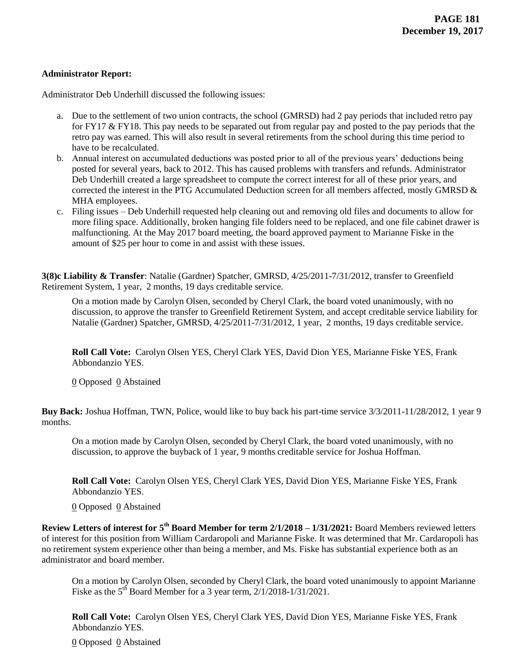## **Administrator Report:**

Administrator Deb Underhill discussed the following issues:

- a. Due to the settlement of two union contracts, the school (GMRSD) had 2 pay periods that included retro pay for FY17 & FY18. This pay needs to be separated out from regular pay and posted to the pay periods that the retro pay was earned. This will also result in several retirements from the school during this time period to have to be recalculated.
- b. Annual interest on accumulated deductions was posted prior to all of the previous years' deductions being posted for several years, back to 2012. This has caused problems with transfers and refunds. Administrator Deb Underhill created a large spreadsheet to compute the correct interest for all of these prior years, and corrected the interest in the PTG Accumulated Deduction screen for all members affected, mostly GMRSD & MHA employees.
- c. Filing issues Deb Underhill requested help cleaning out and removing old files and documents to allow for more filing space. Additionally, broken hanging file folders need to be replaced, and one file cabinet drawer is malfunctioning. At the May 2017 board meeting, the board approved payment to Marianne Fiske in the amount of \$25 per hour to come in and assist with these issues.

**3(8)c Liability & Transfer**: Natalie (Gardner) Spatcher, GMRSD, 4/25/2011-7/31/2012, transfer to Greenfield Retirement System, 1 year, 2 months, 19 days creditable service.

On a motion made by Carolyn Olsen, seconded by Cheryl Clark, the board voted unanimously, with no discussion, to approve the transfer to Greenfield Retirement System, and accept creditable service liability for Natalie (Gardner) Spatcher, GMRSD, 4/25/2011-7/31/2012, 1 year, 2 months, 19 days creditable service.

**Roll Call Vote:** Carolyn Olsen YES, Cheryl Clark YES, David Dion YES, Marianne Fiske YES, Frank Abbondanzio YES.

0 Opposed 0 Abstained

**Buy Back:** Joshua Hoffman, TWN, Police, would like to buy back his part-time service 3/3/2011-11/28/2012, 1 year 9 months.

On a motion made by Carolyn Olsen, seconded by Cheryl Clark, the board voted unanimously, with no discussion, to approve the buyback of 1 year, 9 months creditable service for Joshua Hoffman.

**Roll Call Vote:** Carolyn Olsen YES, Cheryl Clark YES, David Dion YES, Marianne Fiske YES, Frank Abbondanzio YES.

 $\underline{0}$  Opposed  $\underline{0}$  Abstained

**Review Letters of interest for 5th Board Member for term 2/1/2018 – 1/31/2021:** Board Members reviewed letters of interest for this position from William Cardaropoli and Marianne Fiske. It was determined that Mr. Cardaropoli has no retirement system experience other than being a member, and Ms. Fiske has substantial experience both as an administrator and board member.

On a motion by Carolyn Olsen, seconded by Cheryl Clark, the board voted unanimously to appoint Marianne Fiske as the  $5<sup>th</sup>$  Board Member for a 3 year term,  $2/1/2018-1/31/2021$ .

**Roll Call Vote:** Carolyn Olsen YES, Cheryl Clark YES, David Dion YES, Marianne Fiske YES, Frank Abbondanzio YES.

0 Opposed 0 Abstained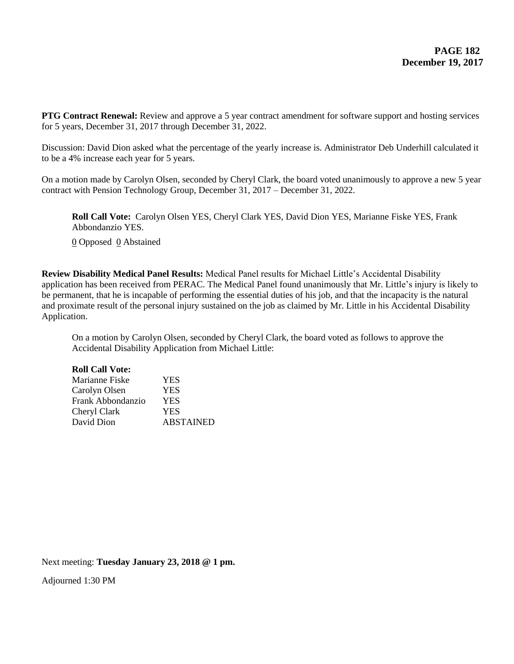**PTG Contract Renewal:** Review and approve a 5 year contract amendment for software support and hosting services for 5 years, December 31, 2017 through December 31, 2022.

Discussion: David Dion asked what the percentage of the yearly increase is. Administrator Deb Underhill calculated it to be a 4% increase each year for 5 years.

On a motion made by Carolyn Olsen, seconded by Cheryl Clark, the board voted unanimously to approve a new 5 year contract with Pension Technology Group, December 31, 2017 – December 31, 2022.

**Roll Call Vote:** Carolyn Olsen YES, Cheryl Clark YES, David Dion YES, Marianne Fiske YES, Frank Abbondanzio YES.

 $\underline{0}$  Opposed  $\underline{0}$  Abstained

**Review Disability Medical Panel Results:** Medical Panel results for Michael Little's Accidental Disability application has been received from PERAC. The Medical Panel found unanimously that Mr. Little's injury is likely to be permanent, that he is incapable of performing the essential duties of his job, and that the incapacity is the natural and proximate result of the personal injury sustained on the job as claimed by Mr. Little in his Accidental Disability Application.

On a motion by Carolyn Olsen, seconded by Cheryl Clark, the board voted as follows to approve the Accidental Disability Application from Michael Little:

| <b>Roll Call Vote:</b> |                  |
|------------------------|------------------|
| Marianne Fiske         | YES              |
| Carolyn Olsen          | YES              |
| Frank Abbondanzio      | YES              |
| Cheryl Clark           | YES              |
| David Dion             | <b>ABSTAINED</b> |

Next meeting: **Tuesday January 23, 2018 @ 1 pm.**

Adjourned 1:30 PM